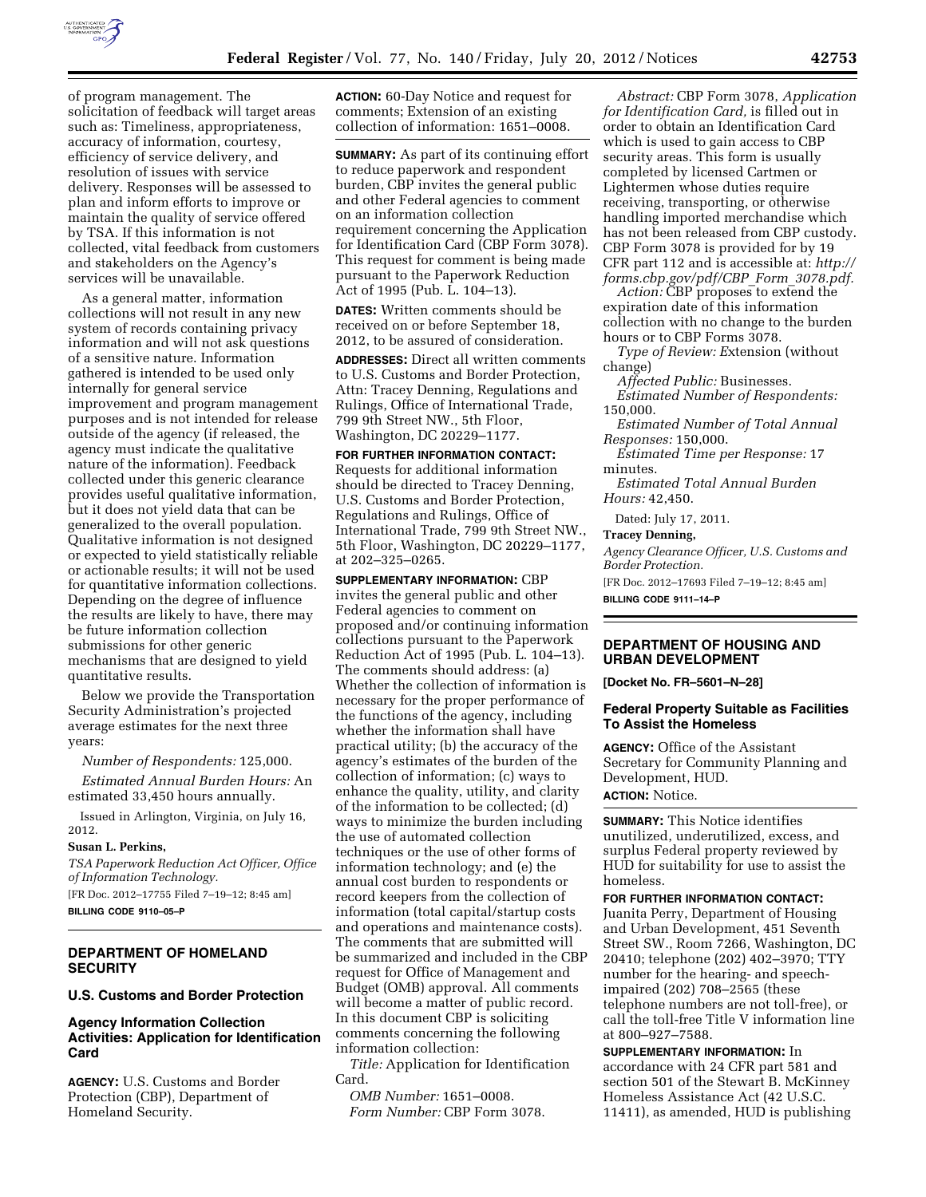

of program management. The solicitation of feedback will target areas such as: Timeliness, appropriateness, accuracy of information, courtesy, efficiency of service delivery, and resolution of issues with service delivery. Responses will be assessed to plan and inform efforts to improve or maintain the quality of service offered by TSA. If this information is not collected, vital feedback from customers and stakeholders on the Agency's services will be unavailable.

As a general matter, information collections will not result in any new system of records containing privacy information and will not ask questions of a sensitive nature. Information gathered is intended to be used only internally for general service improvement and program management purposes and is not intended for release outside of the agency (if released, the agency must indicate the qualitative nature of the information). Feedback collected under this generic clearance provides useful qualitative information, but it does not yield data that can be generalized to the overall population. Qualitative information is not designed or expected to yield statistically reliable or actionable results; it will not be used for quantitative information collections. Depending on the degree of influence the results are likely to have, there may be future information collection submissions for other generic mechanisms that are designed to yield quantitative results.

Below we provide the Transportation Security Administration's projected average estimates for the next three years:

*Number of Respondents:* 125,000.

*Estimated Annual Burden Hours:* An estimated 33,450 hours annually.

Issued in Arlington, Virginia, on July 16, 2012.

### **Susan L. Perkins,**

*TSA Paperwork Reduction Act Officer, Office of Information Technology.* 

[FR Doc. 2012–17755 Filed 7–19–12; 8:45 am] **BILLING CODE 9110–05–P** 

### **DEPARTMENT OF HOMELAND SECURITY**

### **U.S. Customs and Border Protection**

# **Agency Information Collection Activities: Application for Identification Card**

**AGENCY:** U.S. Customs and Border Protection (CBP), Department of Homeland Security.

**ACTION:** 60-Day Notice and request for comments; Extension of an existing collection of information: 1651–0008.

**SUMMARY:** As part of its continuing effort to reduce paperwork and respondent burden, CBP invites the general public and other Federal agencies to comment on an information collection requirement concerning the Application for Identification Card (CBP Form 3078). This request for comment is being made pursuant to the Paperwork Reduction Act of 1995 (Pub. L. 104–13).

**DATES:** Written comments should be received on or before September 18, 2012, to be assured of consideration.

**ADDRESSES:** Direct all written comments to U.S. Customs and Border Protection, Attn: Tracey Denning, Regulations and Rulings, Office of International Trade, 799 9th Street NW., 5th Floor, Washington, DC 20229–1177.

# **FOR FURTHER INFORMATION CONTACT:**  Requests for additional information should be directed to Tracey Denning,

U.S. Customs and Border Protection, Regulations and Rulings, Office of International Trade, 799 9th Street NW., 5th Floor, Washington, DC 20229–1177, at 202–325–0265.

**SUPPLEMENTARY INFORMATION:** CBP invites the general public and other Federal agencies to comment on proposed and/or continuing information collections pursuant to the Paperwork Reduction Act of 1995 (Pub. L. 104–13). The comments should address: (a) Whether the collection of information is necessary for the proper performance of the functions of the agency, including whether the information shall have practical utility; (b) the accuracy of the agency's estimates of the burden of the collection of information; (c) ways to enhance the quality, utility, and clarity of the information to be collected; (d) ways to minimize the burden including the use of automated collection techniques or the use of other forms of information technology; and (e) the annual cost burden to respondents or record keepers from the collection of information (total capital/startup costs and operations and maintenance costs). The comments that are submitted will be summarized and included in the CBP request for Office of Management and Budget (OMB) approval. All comments will become a matter of public record. In this document CBP is soliciting comments concerning the following information collection:

*Title:* Application for Identification Card.

*OMB Number:* 1651–0008. *Form Number:* CBP Form 3078.

*Abstract:* CBP Form 3078, *Application for Identification Card,* is filled out in order to obtain an Identification Card which is used to gain access to CBP security areas. This form is usually completed by licensed Cartmen or Lightermen whose duties require receiving, transporting, or otherwise handling imported merchandise which has not been released from CBP custody. CBP Form 3078 is provided for by 19 CFR part 112 and is accessible at: *[http://](http://forms.cbp.gov/pdf/CBP_Form_3078.pdf)  [forms.cbp.gov/pdf/CBP](http://forms.cbp.gov/pdf/CBP_Form_3078.pdf)*\_*Form*\_*3078.pdf.* 

*Action:* CBP proposes to extend the expiration date of this information collection with no change to the burden hours or to CBP Forms 3078.

*Type of Review: E*xtension (without change)

*Affected Public:* Businesses.

*Estimated Number of Respondents:*  150,000.

*Estimated Number of Total Annual Responses:* 150,000.

*Estimated Time per Response:* 17 minutes.

*Estimated Total Annual Burden Hours:* 42,450.

Dated: July 17, 2011.

#### **Tracey Denning,**

*Agency Clearance Officer, U.S. Customs and Border Protection.*  [FR Doc. 2012–17693 Filed 7–19–12; 8:45 am]

**BILLING CODE 9111–14–P** 

### **DEPARTMENT OF HOUSING AND URBAN DEVELOPMENT**

**[Docket No. FR–5601–N–28]** 

### **Federal Property Suitable as Facilities To Assist the Homeless**

**AGENCY:** Office of the Assistant Secretary for Community Planning and Development, HUD.

# **ACTION:** Notice.

**SUMMARY:** This Notice identifies unutilized, underutilized, excess, and surplus Federal property reviewed by HUD for suitability for use to assist the homeless.

**FOR FURTHER INFORMATION CONTACT:**  Juanita Perry, Department of Housing and Urban Development, 451 Seventh Street SW., Room 7266, Washington, DC 20410; telephone (202) 402–3970; TTY number for the hearing- and speechimpaired (202) 708–2565 (these telephone numbers are not toll-free), or call the toll-free Title V information line at 800–927–7588.

**SUPPLEMENTARY INFORMATION:** In accordance with 24 CFR part 581 and section 501 of the Stewart B. McKinney Homeless Assistance Act (42 U.S.C. 11411), as amended, HUD is publishing